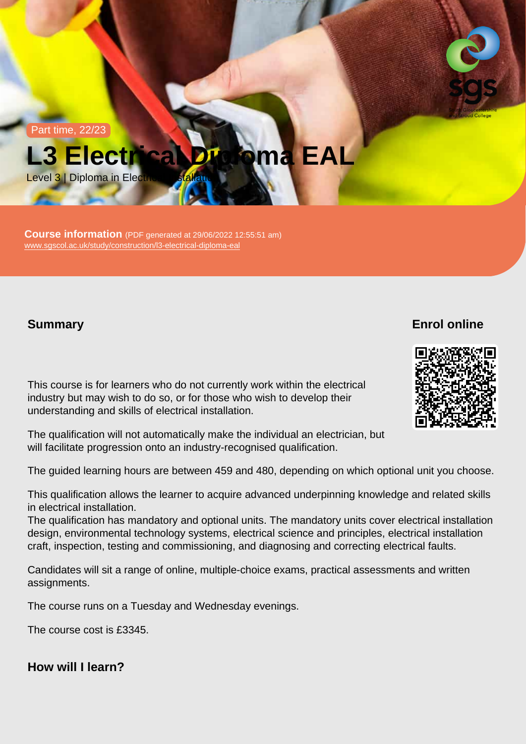Part time, 22/23

# L3 Electrical Diploma EAL

Level 3 | Diploma in Electrical Installation

Course information (PDF generated at 29/06/2022 12:55:51 am) [www.sgscol.ac.uk/study/construction/l3-electrical-diploma-eal](https://www.sgscol.ac.uk/study/construction/l3-electrical-diploma-eal)

**Summary** 

Enrol online

This course is for learners who do not currently work within the electrical industry but may wish to do so, or for those who wish to develop their understanding and skills of electrical installation.

The qualification will not automatically make the individual an electrician, but will facilitate progression onto an industry-recognised qualification.

The guided learning hours are between 459 and 480, depending on which optional unit you choose.

This qualification allows the learner to acquire advanced underpinning knowledge and related skills in electrical installation.

The qualification has mandatory and optional units. The mandatory units cover electrical installation design, environmental technology systems, electrical science and principles, electrical installation craft, inspection, testing and commissioning, and diagnosing and correcting electrical faults.

Candidates will sit a range of online, multiple-choice exams, practical assessments and written assignments.

The course runs on a Tuesday and Wednesday evenings.

The course cost is £3345.

How will I learn?